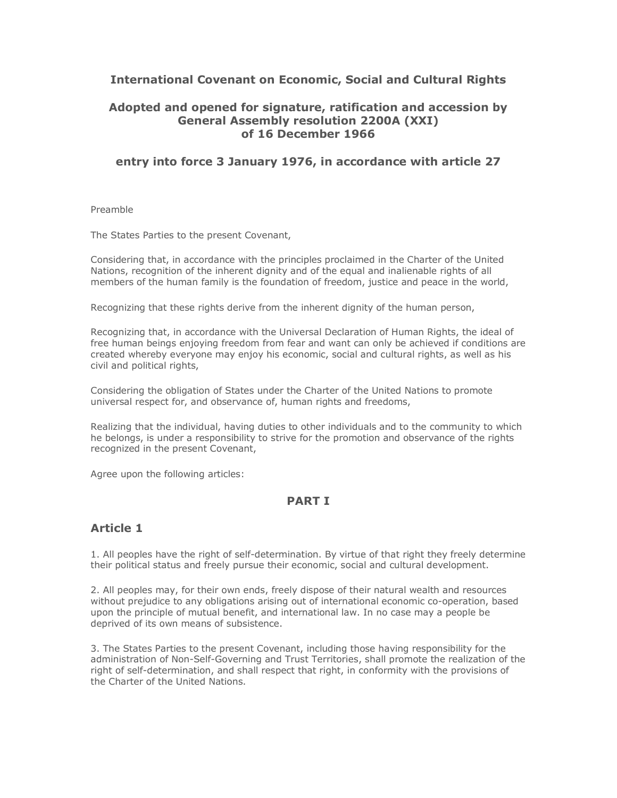### **International Covenant on Economic, Social and Cultural Rights**

### **Adopted and opened for signature, ratification and accession by General Assembly resolution 2200A (XXI) of 16 December 1966**

#### **entry into force 3 January 1976, in accordance with article 27**

Preamble

The States Parties to the present Covenant,

Considering that, in accordance with the principles proclaimed in the Charter of the United Nations, recognition of the inherent dignity and of the equal and inalienable rights of all members of the human family is the foundation of freedom, justice and peace in the world,

Recognizing that these rights derive from the inherent dignity of the human person,

Recognizing that, in accordance with the Universal Declaration of Human Rights, the ideal of free human beings enjoying freedom from fear and want can only be achieved if conditions are created whereby everyone may enjoy his economic, social and cultural rights, as well as his civil and political rights,

Considering the obligation of States under the Charter of the United Nations to promote universal respect for, and observance of, human rights and freedoms,

Realizing that the individual, having duties to other individuals and to the community to which he belongs, is under a responsibility to strive for the promotion and observance of the rights recognized in the present Covenant,

Agree upon the following articles:

#### **PART I**

#### **Article 1**

1. All peoples have the right of self-determination. By virtue of that right they freely determine their political status and freely pursue their economic, social and cultural development.

2. All peoples may, for their own ends, freely dispose of their natural wealth and resources without prejudice to any obligations arising out of international economic co-operation, based upon the principle of mutual benefit, and international law. In no case may a people be deprived of its own means of subsistence.

3. The States Parties to the present Covenant, including those having responsibility for the administration of Non-Self-Governing and Trust Territories, shall promote the realization of the right of self-determination, and shall respect that right, in conformity with the provisions of the Charter of the United Nations.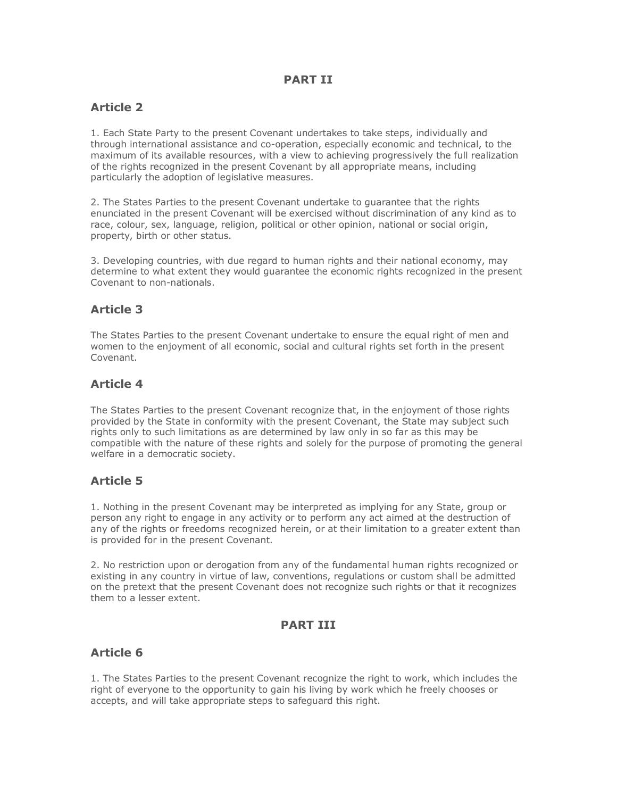### **PART II**

### **Article 2**

1. Each State Party to the present Covenant undertakes to take steps, individually and through international assistance and co-operation, especially economic and technical, to the maximum of its available resources, with a view to achieving progressively the full realization of the rights recognized in the present Covenant by all appropriate means, including particularly the adoption of legislative measures.

2. The States Parties to the present Covenant undertake to guarantee that the rights enunciated in the present Covenant will be exercised without discrimination of any kind as to race, colour, sex, language, religion, political or other opinion, national or social origin, property, birth or other status.

3. Developing countries, with due regard to human rights and their national economy, may determine to what extent they would guarantee the economic rights recognized in the present Covenant to non-nationals.

### **Article 3**

The States Parties to the present Covenant undertake to ensure the equal right of men and women to the enjoyment of all economic, social and cultural rights set forth in the present Covenant.

#### **Article 4**

The States Parties to the present Covenant recognize that, in the enjoyment of those rights provided by the State in conformity with the present Covenant, the State may subject such rights only to such limitations as are determined by law only in so far as this may be compatible with the nature of these rights and solely for the purpose of promoting the general welfare in a democratic society.

# **Article 5**

1. Nothing in the present Covenant may be interpreted as implying for any State, group or person any right to engage in any activity or to perform any act aimed at the destruction of any of the rights or freedoms recognized herein, or at their limitation to a greater extent than is provided for in the present Covenant.

2. No restriction upon or derogation from any of the fundamental human rights recognized or existing in any country in virtue of law, conventions, regulations or custom shall be admitted on the pretext that the present Covenant does not recognize such rights or that it recognizes them to a lesser extent.

#### **PART III**

#### **Article 6**

1. The States Parties to the present Covenant recognize the right to work, which includes the right of everyone to the opportunity to gain his living by work which he freely chooses or accepts, and will take appropriate steps to safeguard this right.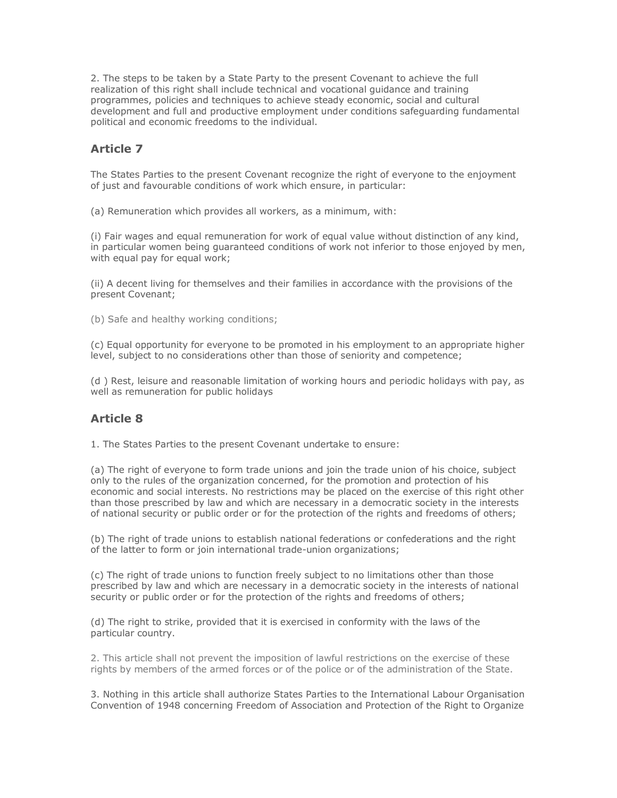2. The steps to be taken by a State Party to the present Covenant to achieve the full realization of this right shall include technical and vocational guidance and training programmes, policies and techniques to achieve steady economic, social and cultural development and full and productive employment under conditions safeguarding fundamental political and economic freedoms to the individual.

# **Article 7**

The States Parties to the present Covenant recognize the right of everyone to the enjoyment of just and favourable conditions of work which ensure, in particular:

(a) Remuneration which provides all workers, as a minimum, with:

(i) Fair wages and equal remuneration for work of equal value without distinction of any kind, in particular women being guaranteed conditions of work not inferior to those enjoyed by men, with equal pay for equal work;

(ii) A decent living for themselves and their families in accordance with the provisions of the present Covenant;

(b) Safe and healthy working conditions;

(c) Equal opportunity for everyone to be promoted in his employment to an appropriate higher level, subject to no considerations other than those of seniority and competence;

(d ) Rest, leisure and reasonable limitation of working hours and periodic holidays with pay, as well as remuneration for public holidays

#### **Article 8**

1. The States Parties to the present Covenant undertake to ensure:

(a) The right of everyone to form trade unions and join the trade union of his choice, subject only to the rules of the organization concerned, for the promotion and protection of his economic and social interests. No restrictions may be placed on the exercise of this right other than those prescribed by law and which are necessary in a democratic society in the interests of national security or public order or for the protection of the rights and freedoms of others;

(b) The right of trade unions to establish national federations or confederations and the right of the latter to form or join international trade-union organizations;

(c) The right of trade unions to function freely subject to no limitations other than those prescribed by law and which are necessary in a democratic society in the interests of national security or public order or for the protection of the rights and freedoms of others;

(d) The right to strike, provided that it is exercised in conformity with the laws of the particular country.

2. This article shall not prevent the imposition of lawful restrictions on the exercise of these rights by members of the armed forces or of the police or of the administration of the State.

3. Nothing in this article shall authorize States Parties to the International Labour Organisation Convention of 1948 concerning Freedom of Association and Protection of the Right to Organize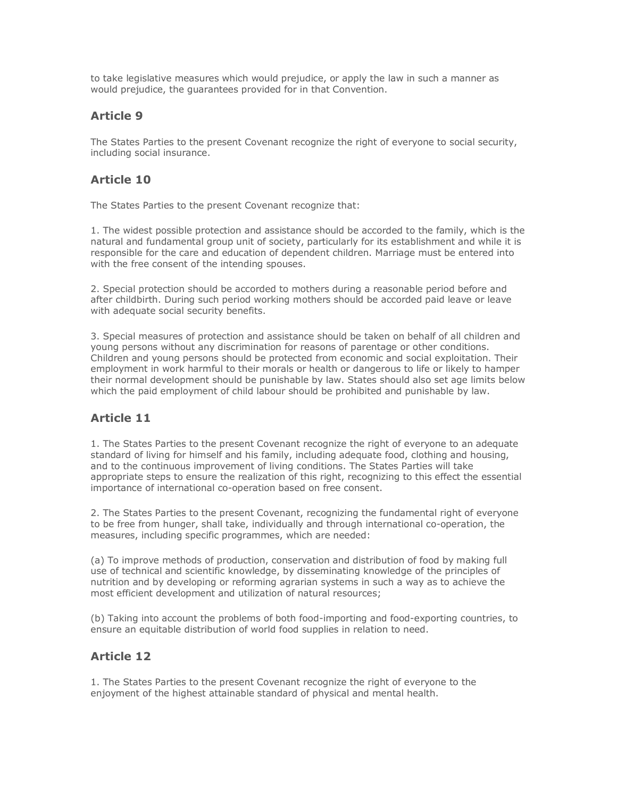to take legislative measures which would prejudice, or apply the law in such a manner as would prejudice, the guarantees provided for in that Convention.

# **Article 9**

The States Parties to the present Covenant recognize the right of everyone to social security, including social insurance.

### **Article 10**

The States Parties to the present Covenant recognize that:

1. The widest possible protection and assistance should be accorded to the family, which is the natural and fundamental group unit of society, particularly for its establishment and while it is responsible for the care and education of dependent children. Marriage must be entered into with the free consent of the intending spouses.

2. Special protection should be accorded to mothers during a reasonable period before and after childbirth. During such period working mothers should be accorded paid leave or leave with adequate social security benefits.

3. Special measures of protection and assistance should be taken on behalf of all children and young persons without any discrimination for reasons of parentage or other conditions. Children and young persons should be protected from economic and social exploitation. Their employment in work harmful to their morals or health or dangerous to life or likely to hamper their normal development should be punishable by law. States should also set age limits below which the paid employment of child labour should be prohibited and punishable by law.

# **Article 11**

1. The States Parties to the present Covenant recognize the right of everyone to an adequate standard of living for himself and his family, including adequate food, clothing and housing, and to the continuous improvement of living conditions. The States Parties will take appropriate steps to ensure the realization of this right, recognizing to this effect the essential importance of international co-operation based on free consent.

2. The States Parties to the present Covenant, recognizing the fundamental right of everyone to be free from hunger, shall take, individually and through international co-operation, the measures, including specific programmes, which are needed:

(a) To improve methods of production, conservation and distribution of food by making full use of technical and scientific knowledge, by disseminating knowledge of the principles of nutrition and by developing or reforming agrarian systems in such a way as to achieve the most efficient development and utilization of natural resources;

(b) Taking into account the problems of both food-importing and food-exporting countries, to ensure an equitable distribution of world food supplies in relation to need.

#### **Article 12**

1. The States Parties to the present Covenant recognize the right of everyone to the enjoyment of the highest attainable standard of physical and mental health.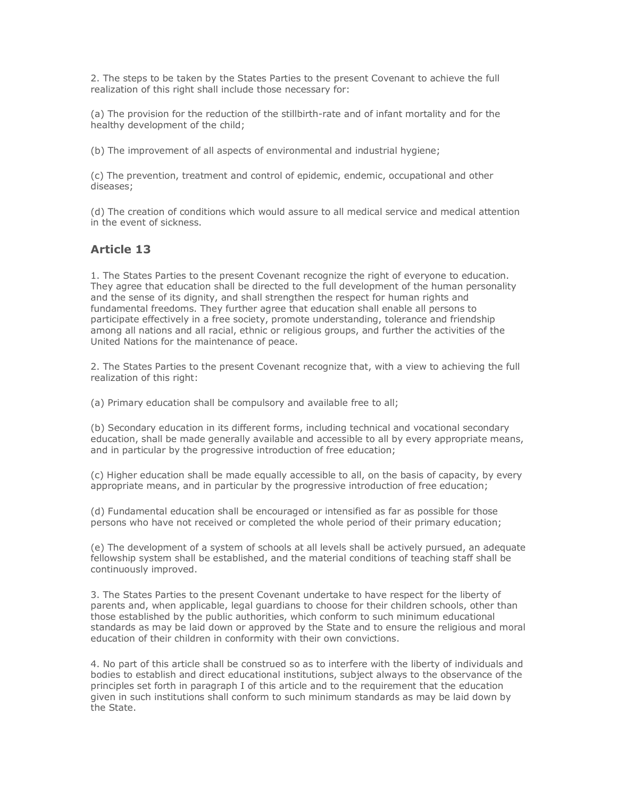2. The steps to be taken by the States Parties to the present Covenant to achieve the full realization of this right shall include those necessary for:

(a) The provision for the reduction of the stillbirth-rate and of infant mortality and for the healthy development of the child;

(b) The improvement of all aspects of environmental and industrial hygiene;

(c) The prevention, treatment and control of epidemic, endemic, occupational and other diseases;

(d) The creation of conditions which would assure to all medical service and medical attention in the event of sickness.

### **Article 13**

1. The States Parties to the present Covenant recognize the right of everyone to education. They agree that education shall be directed to the full development of the human personality and the sense of its dignity, and shall strengthen the respect for human rights and fundamental freedoms. They further agree that education shall enable all persons to participate effectively in a free society, promote understanding, tolerance and friendship among all nations and all racial, ethnic or religious groups, and further the activities of the United Nations for the maintenance of peace.

2. The States Parties to the present Covenant recognize that, with a view to achieving the full realization of this right:

(a) Primary education shall be compulsory and available free to all;

(b) Secondary education in its different forms, including technical and vocational secondary education, shall be made generally available and accessible to all by every appropriate means, and in particular by the progressive introduction of free education;

(c) Higher education shall be made equally accessible to all, on the basis of capacity, by every appropriate means, and in particular by the progressive introduction of free education;

(d) Fundamental education shall be encouraged or intensified as far as possible for those persons who have not received or completed the whole period of their primary education;

(e) The development of a system of schools at all levels shall be actively pursued, an adequate fellowship system shall be established, and the material conditions of teaching staff shall be continuously improved.

3. The States Parties to the present Covenant undertake to have respect for the liberty of parents and, when applicable, legal guardians to choose for their children schools, other than those established by the public authorities, which conform to such minimum educational standards as may be laid down or approved by the State and to ensure the religious and moral education of their children in conformity with their own convictions.

4. No part of this article shall be construed so as to interfere with the liberty of individuals and bodies to establish and direct educational institutions, subject always to the observance of the principles set forth in paragraph I of this article and to the requirement that the education given in such institutions shall conform to such minimum standards as may be laid down by the State.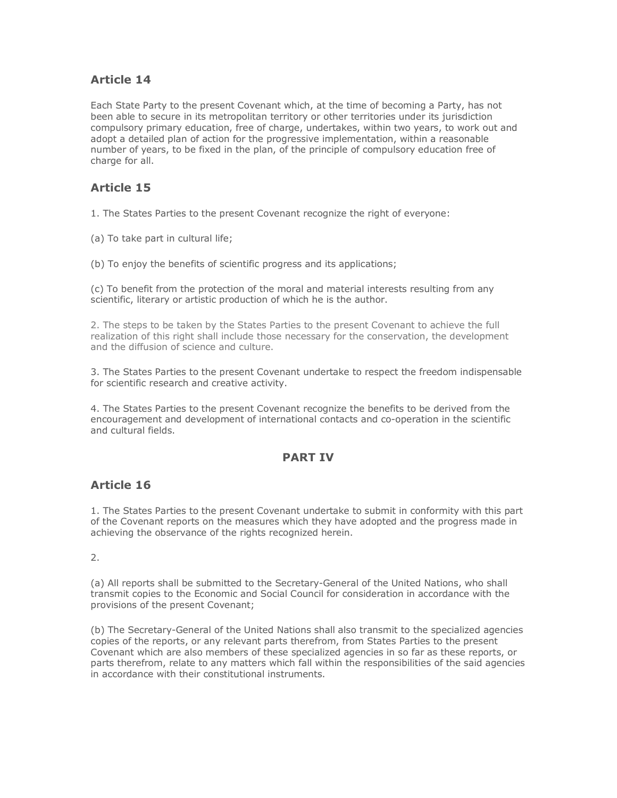Each State Party to the present Covenant which, at the time of becoming a Party, has not been able to secure in its metropolitan territory or other territories under its jurisdiction compulsory primary education, free of charge, undertakes, within two years, to work out and adopt a detailed plan of action for the progressive implementation, within a reasonable number of years, to be fixed in the plan, of the principle of compulsory education free of charge for all.

### **Article 15**

1. The States Parties to the present Covenant recognize the right of everyone:

(a) To take part in cultural life;

(b) To enjoy the benefits of scientific progress and its applications;

(c) To benefit from the protection of the moral and material interests resulting from any scientific, literary or artistic production of which he is the author.

2. The steps to be taken by the States Parties to the present Covenant to achieve the full realization of this right shall include those necessary for the conservation, the development and the diffusion of science and culture.

3. The States Parties to the present Covenant undertake to respect the freedom indispensable for scientific research and creative activity.

4. The States Parties to the present Covenant recognize the benefits to be derived from the encouragement and development of international contacts and co-operation in the scientific and cultural fields.

#### **PART IV**

#### **Article 16**

1. The States Parties to the present Covenant undertake to submit in conformity with this part of the Covenant reports on the measures which they have adopted and the progress made in achieving the observance of the rights recognized herein.

2.

(a) All reports shall be submitted to the Secretary-General of the United Nations, who shall transmit copies to the Economic and Social Council for consideration in accordance with the provisions of the present Covenant;

(b) The Secretary-General of the United Nations shall also transmit to the specialized agencies copies of the reports, or any relevant parts therefrom, from States Parties to the present Covenant which are also members of these specialized agencies in so far as these reports, or parts therefrom, relate to any matters which fall within the responsibilities of the said agencies in accordance with their constitutional instruments.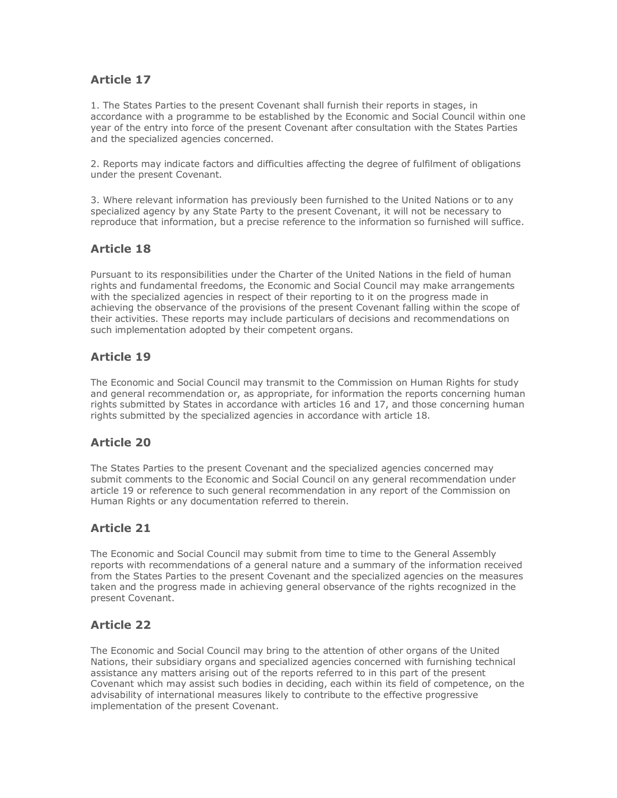1. The States Parties to the present Covenant shall furnish their reports in stages, in accordance with a programme to be established by the Economic and Social Council within one year of the entry into force of the present Covenant after consultation with the States Parties and the specialized agencies concerned.

2. Reports may indicate factors and difficulties affecting the degree of fulfilment of obligations under the present Covenant.

3. Where relevant information has previously been furnished to the United Nations or to any specialized agency by any State Party to the present Covenant, it will not be necessary to reproduce that information, but a precise reference to the information so furnished will suffice.

# **Article 18**

Pursuant to its responsibilities under the Charter of the United Nations in the field of human rights and fundamental freedoms, the Economic and Social Council may make arrangements with the specialized agencies in respect of their reporting to it on the progress made in achieving the observance of the provisions of the present Covenant falling within the scope of their activities. These reports may include particulars of decisions and recommendations on such implementation adopted by their competent organs.

# **Article 19**

The Economic and Social Council may transmit to the Commission on Human Rights for study and general recommendation or, as appropriate, for information the reports concerning human rights submitted by States in accordance with articles 16 and 17, and those concerning human rights submitted by the specialized agencies in accordance with article 18.

# **Article 20**

The States Parties to the present Covenant and the specialized agencies concerned may submit comments to the Economic and Social Council on any general recommendation under article 19 or reference to such general recommendation in any report of the Commission on Human Rights or any documentation referred to therein.

# **Article 21**

The Economic and Social Council may submit from time to time to the General Assembly reports with recommendations of a general nature and a summary of the information received from the States Parties to the present Covenant and the specialized agencies on the measures taken and the progress made in achieving general observance of the rights recognized in the present Covenant.

# **Article 22**

The Economic and Social Council may bring to the attention of other organs of the United Nations, their subsidiary organs and specialized agencies concerned with furnishing technical assistance any matters arising out of the reports referred to in this part of the present Covenant which may assist such bodies in deciding, each within its field of competence, on the advisability of international measures likely to contribute to the effective progressive implementation of the present Covenant.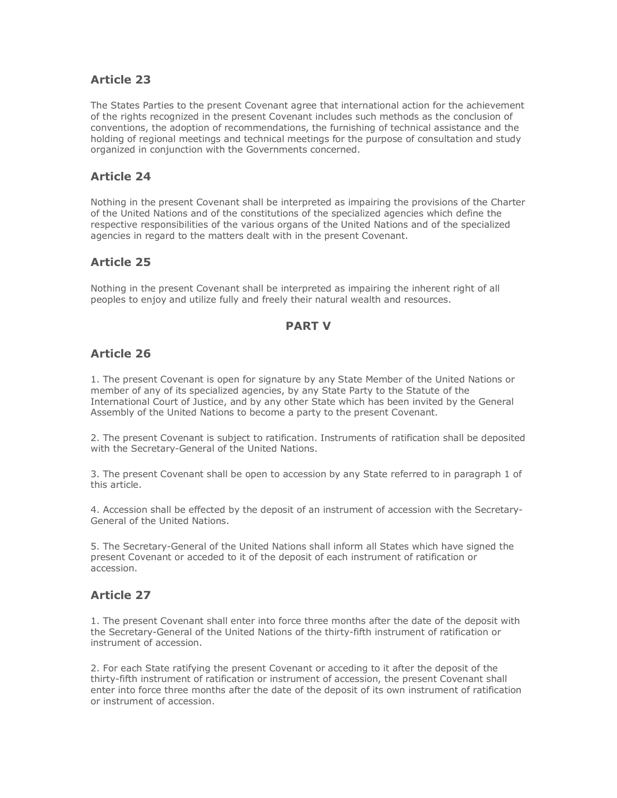The States Parties to the present Covenant agree that international action for the achievement of the rights recognized in the present Covenant includes such methods as the conclusion of conventions, the adoption of recommendations, the furnishing of technical assistance and the holding of regional meetings and technical meetings for the purpose of consultation and study organized in conjunction with the Governments concerned.

### **Article 24**

Nothing in the present Covenant shall be interpreted as impairing the provisions of the Charter of the United Nations and of the constitutions of the specialized agencies which define the respective responsibilities of the various organs of the United Nations and of the specialized agencies in regard to the matters dealt with in the present Covenant.

# **Article 25**

Nothing in the present Covenant shall be interpreted as impairing the inherent right of all peoples to enjoy and utilize fully and freely their natural wealth and resources.

#### **PART V**

#### **Article 26**

1. The present Covenant is open for signature by any State Member of the United Nations or member of any of its specialized agencies, by any State Party to the Statute of the International Court of Justice, and by any other State which has been invited by the General Assembly of the United Nations to become a party to the present Covenant.

2. The present Covenant is subject to ratification. Instruments of ratification shall be deposited with the Secretary-General of the United Nations.

3. The present Covenant shall be open to accession by any State referred to in paragraph 1 of this article.

4. Accession shall be effected by the deposit of an instrument of accession with the Secretary-General of the United Nations.

5. The Secretary-General of the United Nations shall inform all States which have signed the present Covenant or acceded to it of the deposit of each instrument of ratification or accession.

#### **Article 27**

1. The present Covenant shall enter into force three months after the date of the deposit with the Secretary-General of the United Nations of the thirty-fifth instrument of ratification or instrument of accession.

2. For each State ratifying the present Covenant or acceding to it after the deposit of the thirty-fifth instrument of ratification or instrument of accession, the present Covenant shall enter into force three months after the date of the deposit of its own instrument of ratification or instrument of accession.